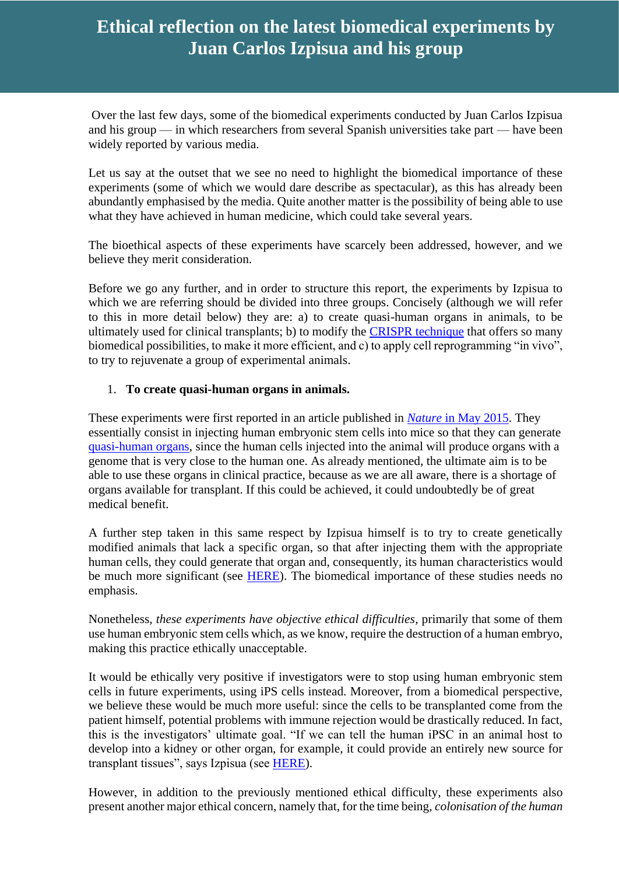# **Ethical reflection on the latest biomedical experiments by Juan Carlos Izpisua and his group**

Over the last few days, some of the biomedical experiments conducted by Juan Carlos Izpisua and his group — in which researchers from several Spanish universities take part — have been widely reported by various media.

Let us say at the outset that we see no need to highlight the biomedical importance of these experiments (some of which we would dare describe as spectacular), as this has already been abundantly emphasised by the media. Quite another matter is the possibility of being able to use what they have achieved in human medicine, which could take several years.

The bioethical aspects of these experiments have scarcely been addressed, however, and we believe they merit consideration.

Before we go any further, and in order to structure this report, the experiments by Izpisua to which we are referring should be divided into three groups. Concisely (although we will refer to this in more detail below) they are: a) to create quasi-human organs in animals, to be ultimately used for clinical transplants; b) to modify the [CRISPR technique](http://www.observatoriobioetica.org/2016/02/crispr-cas9-genome-editing-biomedical-and-ethical-considerations/12026) that offers so many biomedical possibilities, to make it more efficient, and c) to apply cell reprogramming "in vivo", to try to rejuvenate a group of experimental animals.

#### 1. **To create quasi-human organs in animals.**

These experiments were first reported in an article published in *Nature* [in May 2015.](http://www.nature.com/nature/journal/v521/n7552/abs/nature14413.html) They essentially consist in injecting human embryonic stem cells into mice so that they can generate [quasi-human organs,](https://zenit.org/articles/medical-and-ethical-problems-of-producing-human-organs-in-animal-chimeras-2/) since the human cells injected into the animal will produce organs with a genome that is very close to the human one. As already mentioned, the ultimate aim is to be able to use these organs in clinical practice, because as we are all aware, there is a shortage of organs available for transplant. If this could be achieved, it could undoubtedly be of great medical benefit.

A further step taken in this same respect by Izpisua himself is to try to create genetically modified animals that lack a specific organ, so that after injecting them with the appropriate human cells, they could generate that organ and, consequently, its human characteristics would be much more significant (see [HERE\)](https://www.scientificamerican.com/article/tissue-mash-up-a-q-a-with-juan-carlos-izpisua-belmonte/). The biomedical importance of these studies needs no emphasis.

Nonetheless, *these experiments have objective ethical difficulties*, primarily that some of them use human embryonic stem cells which, as we know, require the destruction of a human embryo, making this practice ethically unacceptable.

It would be ethically very positive if investigators were to stop using human embryonic stem cells in future experiments, using iPS cells instead. Moreover, from a biomedical perspective, we believe these would be much more useful: since the cells to be transplanted come from the patient himself, potential problems with immune rejection would be drastically reduced. In fact, this is the investigators' ultimate goal. "If we can tell the human iPSC in an animal host to develop into a kidney or other organ, for example, it could provide an entirely new source for transplant tissues", says Izpisua (see [HERE\)](https://www.salk.edu/news-release/salk-professor-awarded-multimillion-nih-pioneer-award-innovations-cell-biology/).

However, in addition to the previously mentioned ethical difficulty, these experiments also present another major ethical concern, namely that, for the time being, *colonisation of the human*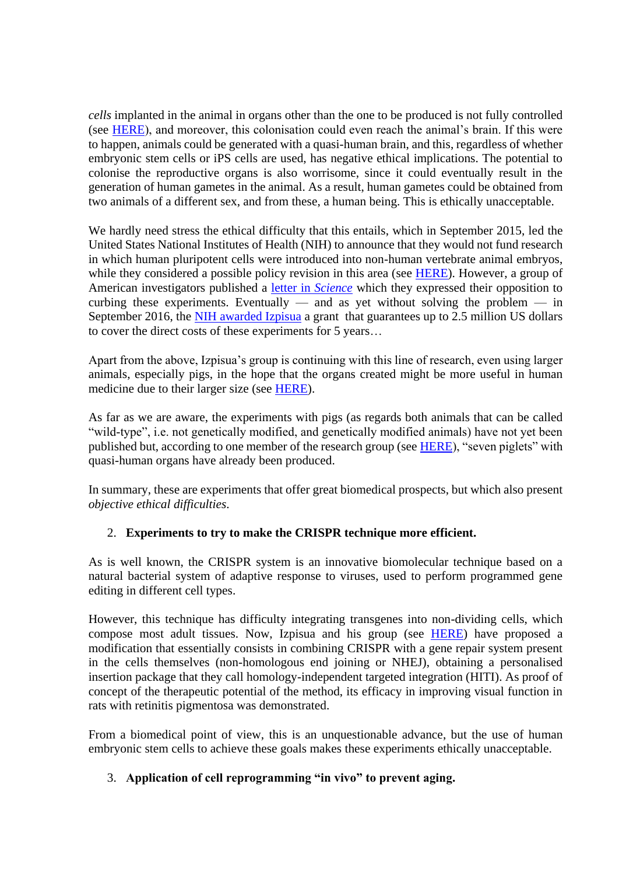*cells* implanted in the animal in organs other than the one to be produced is not fully controlled (see [HERE\)](https://www.scientificamerican.com/article/tissue-mash-up-a-q-a-with-juan-carlos-izpisua-belmonte/), and moreover, this colonisation could even reach the animal's brain. If this were to happen, animals could be generated with a quasi-human brain, and this, regardless of whether embryonic stem cells or iPS cells are used, has negative ethical implications. The potential to colonise the reproductive organs is also worrisome, since it could eventually result in the generation of human gametes in the animal. As a result, human gametes could be obtained from two animals of a different sex, and from these, a human being. This is ethically unacceptable.

We hardly need stress the ethical difficulty that this entails, which in September 2015, led the United States National Institutes of Health (NIH) to announce that they would not fund research in which human pluripotent cells were introduced into non-human vertebrate animal embryos, while they considered a possible policy revision in this area (see [HERE\)](https://grants.nih.gov/grants/guide/notice-files/NOT-OD-15-158.html). However, a group of American investigators published a [letter in](http://science.sciencemag.org/content/350/6261/640.1) *Science* which they expressed their opposition to curbing these experiments. Eventually  $-$  and as yet without solving the problem  $-$  in September 2016, the [NIH awarded Izpisua](https://commonfund.nih.gov/pioneer/recipients16) a grant that guarantees up to 2.5 million US dollars to cover the direct costs of these experiments for 5 years…

Apart from the above, Izpisua's group is continuing with this line of research, even using larger animals, especially pigs, in the hope that the organs created might be more useful in human medicine due to their larger size (see [HERE\)](https://www.scientificamerican.com/article/tissue-mash-up-a-q-a-with-juan-carlos-izpisua-belmonte/).

As far as we are aware, the experiments with pigs (as regards both animals that can be called "wild-type", i.e. not genetically modified, and genetically modified animals) have not yet been published but, according to one member of the research group (see [HERE\)](http://www.elmundo.es/papel/historias/2016/07/04/5775364346163f9e0e8b4613.html), "seven piglets" with quasi-human organs have already been produced.

In summary, these are experiments that offer great biomedical prospects, but which also present *objective ethical difficulties*.

## 2. **Experiments to try to make the CRISPR technique more efficient.**

As is well known, the CRISPR system is an innovative biomolecular technique based on a natural bacterial system of adaptive response to viruses, used to perform programmed gene editing in different cell types.

However, this technique has difficulty integrating transgenes into non-dividing cells, which compose most adult tissues. Now, Izpisua and his group (see [HERE\)](http://www.nature.com/nature/journal/v540/n7631/full/nature20565.html) have proposed a modification that essentially consists in combining CRISPR with a gene repair system present in the cells themselves (non-homologous end joining or NHEJ), obtaining a personalised insertion package that they call homology-independent targeted integration (HITI). As proof of concept of the therapeutic potential of the method, its efficacy in improving visual function in rats with retinitis pigmentosa was demonstrated.

From a biomedical point of view, this is an unquestionable advance, but the use of human embryonic stem cells to achieve these goals makes these experiments ethically unacceptable.

## 3. **Application of cell reprogramming "in vivo" to prevent aging.**